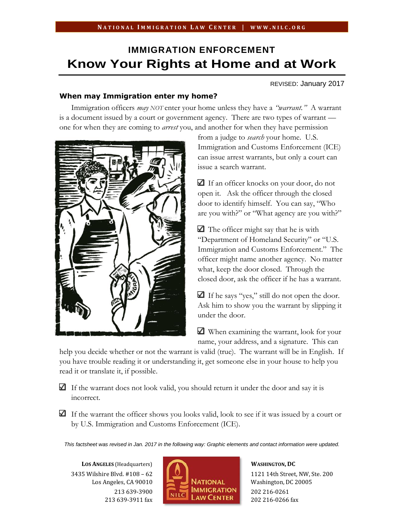# **IMMIGRATION ENFORCEMENT Know Your Rights at Home and at Work**

REVISED: January 2017

## **When may Immigration enter my home?**

Immigration officers *may NOT* enter your home unless they have a *"warrant."* A warrant is a document issued by a court or government agency. There are two types of warrant one for when they are coming to *arrest* you, and another for when they have permission



from a judge to *search* your home. U.S. Immigration and Customs Enforcement (ICE) can issue arrest warrants, but only a court can issue a search warrant.

If an officer knocks on your door, do not open it. Ask the officer through the closed door to identify himself. You can say, "Who are you with?" or "What agency are you with?"

 $\Box$  The officer might say that he is with "Department of Homeland Security" or "U.S. Immigration and Customs Enforcement." The officer might name another agency. No matter what, keep the door closed. Through the closed door, ask the officer if he has a warrant.

If he says "yes," still do not open the door. Ask him to show you the warrant by slipping it under the door.

When examining the warrant, look for your name, your address, and a signature. This can

help you decide whether or not the warrant is valid (true). The warrant will be in English. If you have trouble reading it or understanding it, get someone else in your house to help you read it or translate it, if possible.

 $\Box$  If the warrant does not look valid, you should return it under the door and say it is incorrect.

 $\Box$  If the warrant the officer shows you looks valid, look to see if it was issued by a court or by U.S. Immigration and Customs Enforcement (ICE).

*This factsheet was revised in Jan. 2017 in the following way: Graphic elements and contact information were updated.*

**LOS ANGELES** (Headquarters) 3435 Wilshire Blvd. #108 – 62 Los Angeles, CA 90010 213 639-3900 213 639-3911 fax



**WASHINGTON, DC** 1121 14th Street, NW, Ste. 200 Washington, DC 20005 202 216-0261 202 216-0266 fax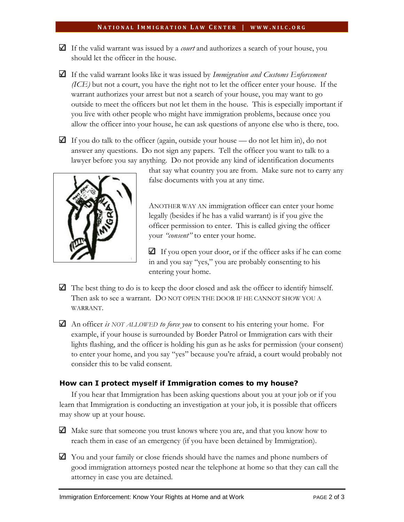#### **N A T I O N A L I M M I G R A T I O N L A W C E N T E R | W W W . N I L C . O R G**

- $\Box$  If the valid warrant was issued by a *court* and authorizes a search of your house, you should let the officer in the house.
- If the valid warrant looks like it was issued by *Immigration and Customs Enforcement (ICE)* but not a court, you have the right not to let the officer enter your house. If the warrant authorizes your arrest but not a search of your house, you may want to go outside to meet the officers but not let them in the house. This is especially important if you live with other people who might have immigration problems, because once you allow the officer into your house, he can ask questions of anyone else who is there, too.
- If you do talk to the officer (again, outside your house do not let him in), do not answer any questions. Do not sign any papers. Tell the officer you want to talk to a lawyer before you say anything. Do not provide any kind of identification documents



that say what country you are from. Make sure not to carry any false documents with you at any time.

ANOTHER WAY AN immigration officer can enter your home legally (besides if he has a valid warrant) is if you give the officer permission to enter. This is called giving the officer your *"consent"* to enter your home.

If you open your door, or if the officer asks if he can come in and you say "yes," you are probably consenting to his entering your home.

- $\Box$  The best thing to do is to keep the door closed and ask the officer to identify himself. Then ask to see a warrant. DO NOT OPEN THE DOOR IF HE CANNOT SHOW YOU A WARRANT.
- An officer *is NOT ALLOWED to force you* to consent to his entering your home. For example, if your house is surrounded by Border Patrol or Immigration cars with their lights flashing, and the officer is holding his gun as he asks for permission (your consent) to enter your home, and you say "yes" because you're afraid, a court would probably not consider this to be valid consent.

## **How can I protect myself if Immigration comes to my house?**

If you hear that Immigration has been asking questions about you at your job or if you learn that Immigration is conducting an investigation at your job, it is possible that officers may show up at your house.

Make sure that someone you trust knows where you are, and that you know how to reach them in case of an emergency (if you have been detained by Immigration).

You and your family or close friends should have the names and phone numbers of good immigration attorneys posted near the telephone at home so that they can call the attorney in case you are detained.